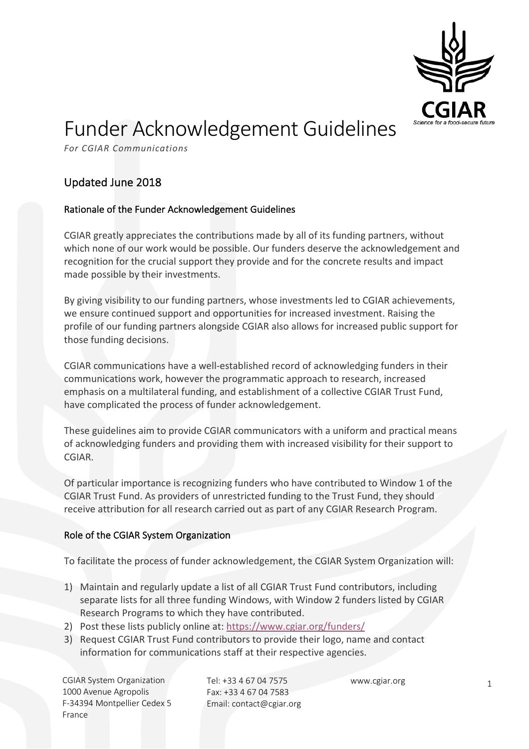

# Funder Acknowledgement Guidelines

*For CGIAR Communications*

## Updated June 2018

#### Rationale of the Funder Acknowledgement Guidelines

CGIAR greatly appreciates the contributions made by all of its funding partners, without which none of our work would be possible. Our funders deserve the acknowledgement and recognition for the crucial support they provide and for the concrete results and impact made possible by their investments.

By giving visibility to our funding partners, whose investments led to CGIAR achievements, we ensure continued support and opportunities for increased investment. Raising the profile of our funding partners alongside CGIAR also allows for increased public support for those funding decisions.

CGIAR communications have a well-established record of acknowledging funders in their communications work, however the programmatic approach to research, increased emphasis on a multilateral funding, and establishment of a collective CGIAR Trust Fund, have complicated the process of funder acknowledgement.

These guidelines aim to provide CGIAR communicators with a uniform and practical means of acknowledging funders and providing them with increased visibility for their support to CGIAR.

Of particular importance is recognizing funders who have contributed to Window 1 of the CGIAR Trust Fund. As providers of unrestricted funding to the Trust Fund, they should receive attribution for all research carried out as part of any CGIAR Research Program.

#### Role of the CGIAR System Organization

To facilitate the process of funder acknowledgement, the CGIAR System Organization will:

- 1) Maintain and regularly update a list of all CGIAR Trust Fund contributors, including separate lists for all three funding Windows, with Window 2 funders listed by CGIAR Research Programs to which they have contributed.
- 2) Post these lists publicly online at: https://www.cgiar.org/funders/
- 3) Request CGIAR Trust Fund contributors to provide their logo, name and contact information for communications staff at their respective agencies.

CGIAR System Organization 1000 Avenue Agropolis F-34394 Montpellier Cedex 5 France

Tel: +33 4 67 04 7575 Fax: +33 4 67 04 7583 Email: contact@cgiar.org

www.cgiar.org 1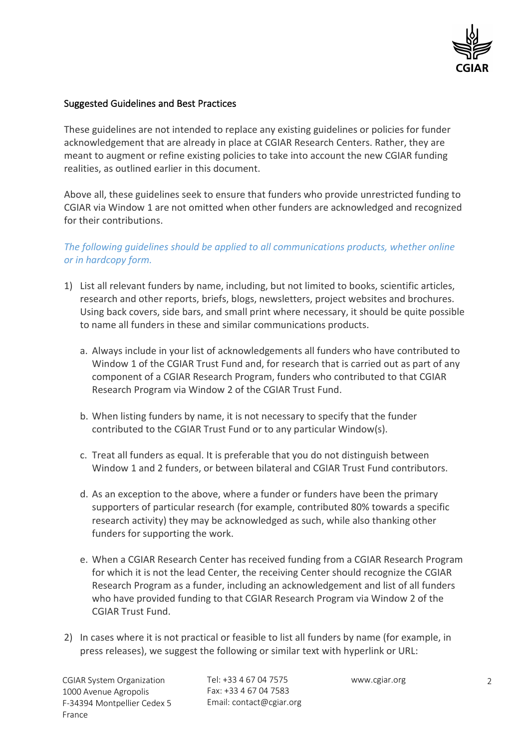

#### Suggested Guidelines and Best Practices

These guidelines are not intended to replace any existing guidelines or policies for funder acknowledgement that are already in place at CGIAR Research Centers. Rather, they are meant to augment or refine existing policies to take into account the new CGIAR funding realities, as outlined earlier in this document.

Above all, these guidelines seek to ensure that funders who provide unrestricted funding to CGIAR via Window 1 are not omitted when other funders are acknowledged and recognized for their contributions.

### *The following guidelines should be applied to all communications products, whether online or in hardcopy form.*

- 1) List all relevant funders by name, including, but not limited to books, scientific articles, research and other reports, briefs, blogs, newsletters, project websites and brochures. Using back covers, side bars, and small print where necessary, it should be quite possible to name all funders in these and similar communications products.
	- a. Always include in your list of acknowledgements all funders who have contributed to Window 1 of the CGIAR Trust Fund and, for research that is carried out as part of any component of a CGIAR Research Program, funders who contributed to that CGIAR Research Program via Window 2 of the CGIAR Trust Fund.
	- b. When listing funders by name, it is not necessary to specify that the funder contributed to the CGIAR Trust Fund or to any particular Window(s).
	- c. Treat all funders as equal. It is preferable that you do not distinguish between Window 1 and 2 funders, or between bilateral and CGIAR Trust Fund contributors.
	- d. As an exception to the above, where a funder or funders have been the primary supporters of particular research (for example, contributed 80% towards a specific research activity) they may be acknowledged as such, while also thanking other funders for supporting the work.
	- e. When a CGIAR Research Center has received funding from a CGIAR Research Program for which it is not the lead Center, the receiving Center should recognize the CGIAR Research Program as a funder, including an acknowledgement and list of all funders who have provided funding to that CGIAR Research Program via Window 2 of the CGIAR Trust Fund.
- 2) In cases where it is not practical or feasible to list all funders by name (for example, in press releases), we suggest the following or similar text with hyperlink or URL:

CGIAR System Organization 1000 Avenue Agropolis F-34394 Montpellier Cedex 5 France

Tel: +33 4 67 04 7575 Fax: +33 4 67 04 7583 Email: contact@cgiar.org

www.cgiar.org 2002